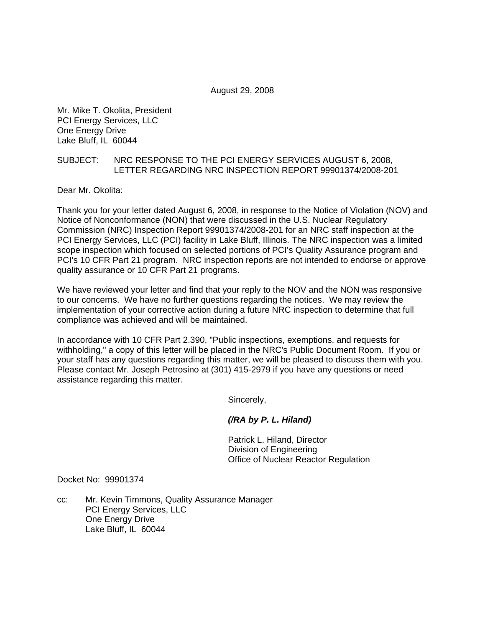August 29, 2008

Mr. Mike T. Okolita, President PCI Energy Services, LLC One Energy Drive Lake Bluff, IL 60044

## SUBJECT: NRC RESPONSE TO THE PCI ENERGY SERVICES AUGUST 6, 2008, LETTER REGARDING NRC INSPECTION REPORT 99901374/2008-201

Dear Mr. Okolita:

Thank you for your letter dated August 6, 2008, in response to the Notice of Violation (NOV) and Notice of Nonconformance (NON) that were discussed in the U.S. Nuclear Regulatory Commission (NRC) Inspection Report 99901374/2008-201 for an NRC staff inspection at the PCI Energy Services, LLC (PCI) facility in Lake Bluff, Illinois. The NRC inspection was a limited scope inspection which focused on selected portions of PCI's Quality Assurance program and PCI's 10 CFR Part 21 program. NRC inspection reports are not intended to endorse or approve quality assurance or 10 CFR Part 21 programs.

We have reviewed your letter and find that your reply to the NOV and the NON was responsive to our concerns. We have no further questions regarding the notices. We may review the implementation of your corrective action during a future NRC inspection to determine that full compliance was achieved and will be maintained.

In accordance with 10 CFR Part 2.390, "Public inspections, exemptions, and requests for withholding," a copy of this letter will be placed in the NRC's Public Document Room. If you or your staff has any questions regarding this matter, we will be pleased to discuss them with you. Please contact Mr. Joseph Petrosino at (301) 415-2979 if you have any questions or need assistance regarding this matter.

Sincerely,

## *(/RA by P. L. Hiland)*

 Patrick L. Hiland, Director Division of Engineering Office of Nuclear Reactor Regulation

Docket No: 99901374

cc: Mr. Kevin Timmons, Quality Assurance Manager PCI Energy Services, LLC One Energy Drive Lake Bluff, IL 60044